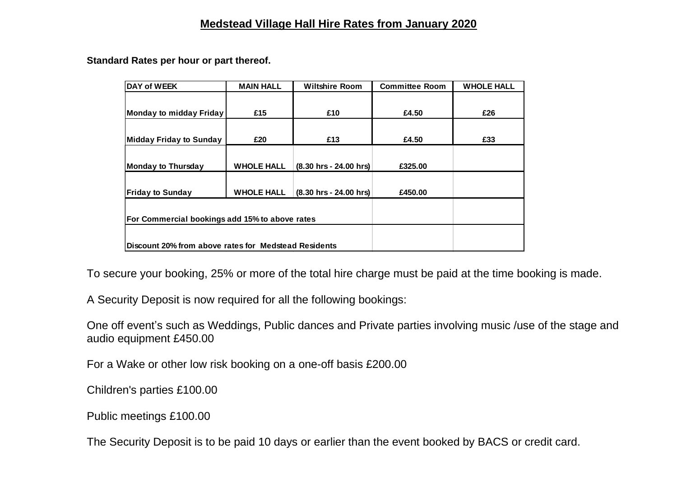## **Medstead Village Hall Hire Rates from January 2020**

**Standard Rates per hour or part thereof.** 

| DAY of WEEK                                          | <b>MAIN HALL</b>  | <b>Wiltshire Room</b>                    | <b>Committee Room</b> | <b>WHOLE HALL</b> |
|------------------------------------------------------|-------------------|------------------------------------------|-----------------------|-------------------|
|                                                      |                   |                                          |                       |                   |
| Monday to midday Friday                              | £15               | £10                                      | £4.50                 | £26               |
|                                                      |                   |                                          |                       |                   |
| Midday Friday to Sunday                              | £20               | £13                                      | £4.50                 | £33               |
|                                                      |                   |                                          |                       |                   |
| <b>Monday to Thursday</b>                            | <b>WHOLE HALL</b> | $(8.30 \text{ hrs} - 24.00 \text{ hrs})$ | £325.00               |                   |
|                                                      |                   |                                          |                       |                   |
| <b>Friday to Sunday</b>                              | <b>WHOLE HALL</b> | (8.30 hrs - 24.00 hrs)                   | £450.00               |                   |
|                                                      |                   |                                          |                       |                   |
| For Commercial bookings add 15% to above rates       |                   |                                          |                       |                   |
|                                                      |                   |                                          |                       |                   |
| Discount 20% from above rates for Medstead Residents |                   |                                          |                       |                   |

To secure your booking, 25% or more of the total hire charge must be paid at the time booking is made.

A Security Deposit is now required for all the following bookings:

One off event's such as Weddings, Public dances and Private parties involving music /use of the stage and audio equipment £450.00

For a Wake or other low risk booking on a one-off basis £200.00

Children's parties £100.00

Public meetings £100.00

The Security Deposit is to be paid 10 days or earlier than the event booked by BACS or credit card.